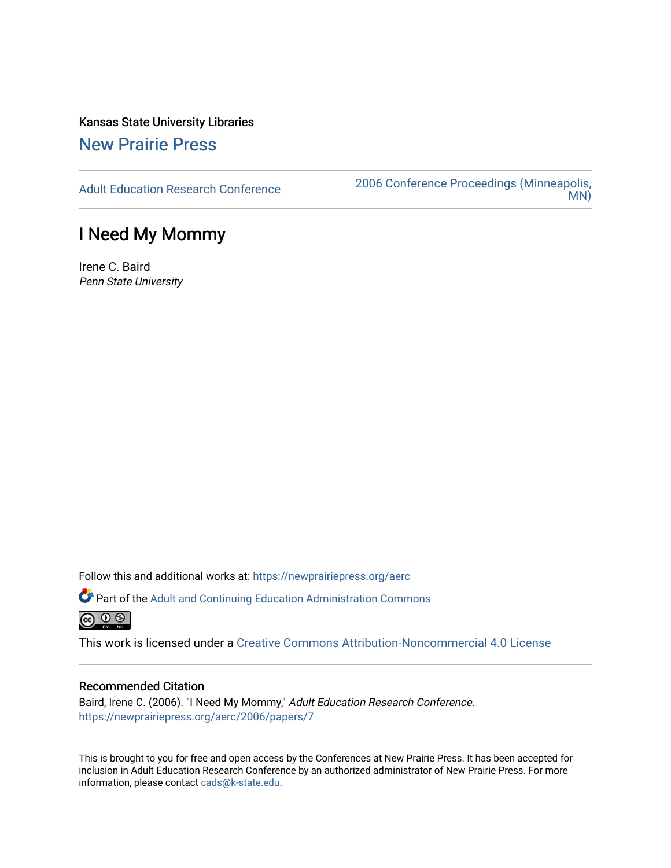# Kansas State University Libraries

## [New Prairie Press](https://newprairiepress.org/)

[Adult Education Research Conference](https://newprairiepress.org/aerc) [2006 Conference Proceedings \(Minneapolis,](https://newprairiepress.org/aerc/2006)  [MN\)](https://newprairiepress.org/aerc/2006) 

## I Need My Mommy

Irene C. Baird Penn State University

Follow this and additional works at: [https://newprairiepress.org/aerc](https://newprairiepress.org/aerc?utm_source=newprairiepress.org%2Faerc%2F2006%2Fpapers%2F7&utm_medium=PDF&utm_campaign=PDFCoverPages)

Part of the [Adult and Continuing Education Administration Commons](http://network.bepress.com/hgg/discipline/789?utm_source=newprairiepress.org%2Faerc%2F2006%2Fpapers%2F7&utm_medium=PDF&utm_campaign=PDFCoverPages)  $\circledcirc$   $\circledcirc$ 

This work is licensed under a [Creative Commons Attribution-Noncommercial 4.0 License](https://creativecommons.org/licenses/by-nc/4.0/)

## Recommended Citation

Baird, Irene C. (2006). "I Need My Mommy," Adult Education Research Conference. <https://newprairiepress.org/aerc/2006/papers/7>

This is brought to you for free and open access by the Conferences at New Prairie Press. It has been accepted for inclusion in Adult Education Research Conference by an authorized administrator of New Prairie Press. For more information, please contact [cads@k-state.edu](mailto:cads@k-state.edu).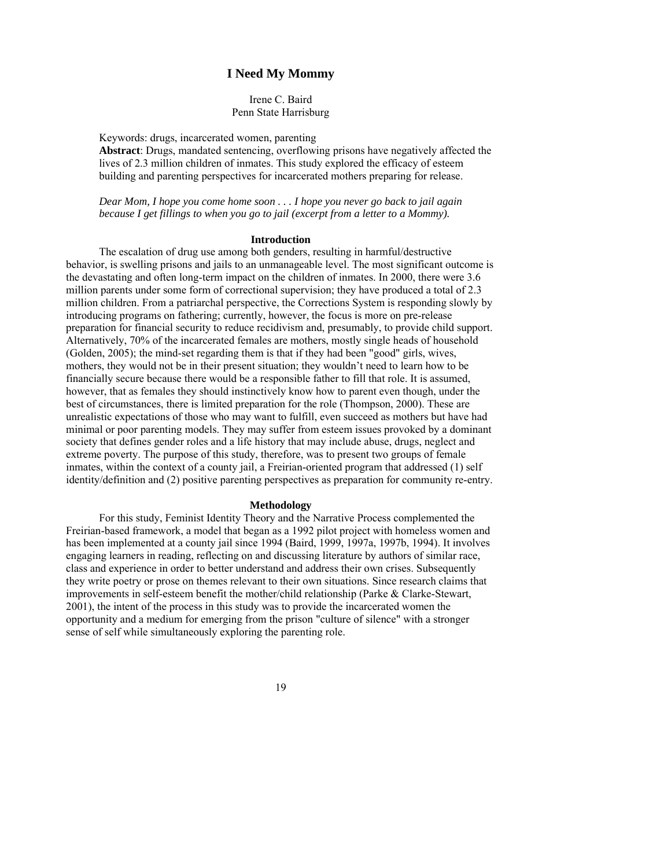## **I Need My Mommy**

Irene C. Baird Penn State Harrisburg

Keywords: drugs, incarcerated women, parenting **Abstract**: Drugs, mandated sentencing, overflowing prisons have negatively affected the lives of 2.3 million children of inmates. This study explored the efficacy of esteem building and parenting perspectives for incarcerated mothers preparing for release.

*Dear Mom, I hope you come home soon . . . I hope you never go back to jail again because I get fillings to when you go to jail (excerpt from a letter to a Mommy).*

#### **Introduction**

 The escalation of drug use among both genders, resulting in harmful/destructive behavior, is swelling prisons and jails to an unmanageable level. The most significant outcome is the devastating and often long-term impact on the children of inmates. In 2000, there were 3.6 million parents under some form of correctional supervision; they have produced a total of 2.3 million children. From a patriarchal perspective, the Corrections System is responding slowly by introducing programs on fathering; currently, however, the focus is more on pre-release preparation for financial security to reduce recidivism and, presumably, to provide child support. Alternatively, 70% of the incarcerated females are mothers, mostly single heads of household (Golden, 2005); the mind-set regarding them is that if they had been "good" girls, wives, mothers, they would not be in their present situation; they wouldn't need to learn how to be financially secure because there would be a responsible father to fill that role. It is assumed, however, that as females they should instinctively know how to parent even though, under the best of circumstances, there is limited preparation for the role (Thompson, 2000). These are unrealistic expectations of those who may want to fulfill, even succeed as mothers but have had minimal or poor parenting models. They may suffer from esteem issues provoked by a dominant society that defines gender roles and a life history that may include abuse, drugs, neglect and extreme poverty. The purpose of this study, therefore, was to present two groups of female inmates, within the context of a county jail, a Freirian-oriented program that addressed (1) self identity/definition and (2) positive parenting perspectives as preparation for community re-entry.

### **Methodology**

 For this study, Feminist Identity Theory and the Narrative Process complemented the Freirian-based framework, a model that began as a 1992 pilot project with homeless women and has been implemented at a county jail since 1994 (Baird, 1999, 1997a, 1997b, 1994). It involves engaging learners in reading, reflecting on and discussing literature by authors of similar race, class and experience in order to better understand and address their own crises. Subsequently they write poetry or prose on themes relevant to their own situations. Since research claims that improvements in self-esteem benefit the mother/child relationship (Parke & Clarke-Stewart, 2001), the intent of the process in this study was to provide the incarcerated women the opportunity and a medium for emerging from the prison "culture of silence" with a stronger sense of self while simultaneously exploring the parenting role.

19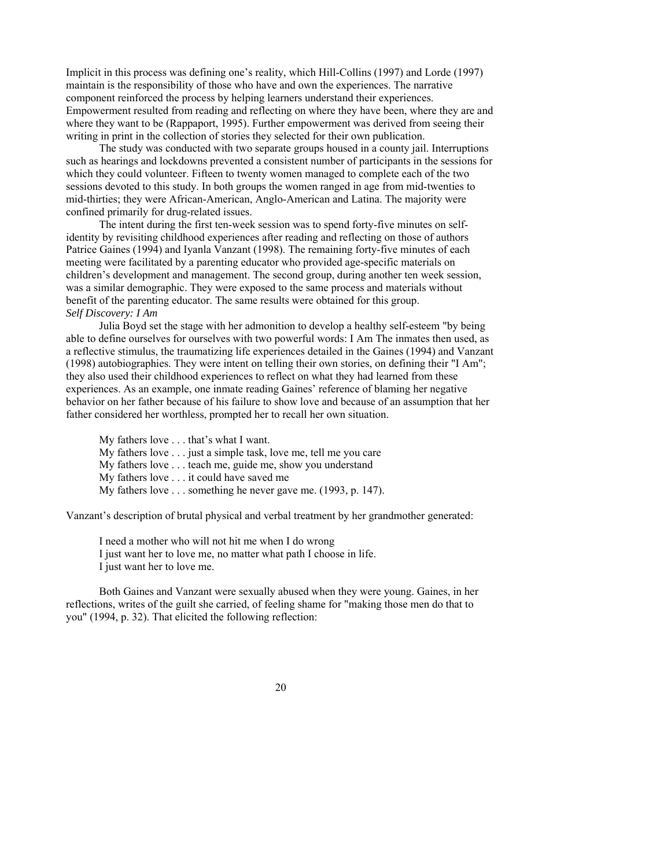Implicit in this process was defining one's reality, which Hill-Collins (1997) and Lorde (1997) maintain is the responsibility of those who have and own the experiences. The narrative component reinforced the process by helping learners understand their experiences. Empowerment resulted from reading and reflecting on where they have been, where they are and where they want to be (Rappaport, 1995). Further empowerment was derived from seeing their writing in print in the collection of stories they selected for their own publication.

 The study was conducted with two separate groups housed in a county jail. Interruptions such as hearings and lockdowns prevented a consistent number of participants in the sessions for which they could volunteer. Fifteen to twenty women managed to complete each of the two sessions devoted to this study. In both groups the women ranged in age from mid-twenties to mid-thirties; they were African-American, Anglo-American and Latina. The majority were confined primarily for drug-related issues.

 The intent during the first ten-week session was to spend forty-five minutes on selfidentity by revisiting childhood experiences after reading and reflecting on those of authors Patrice Gaines (1994) and Iyanla Vanzant (1998). The remaining forty-five minutes of each meeting were facilitated by a parenting educator who provided age-specific materials on children's development and management. The second group, during another ten week session, was a similar demographic. They were exposed to the same process and materials without benefit of the parenting educator. The same results were obtained for this group. *Self Discovery: I Am*

 Julia Boyd set the stage with her admonition to develop a healthy self-esteem "by being able to define ourselves for ourselves with two powerful words: I Am The inmates then used, as a reflective stimulus, the traumatizing life experiences detailed in the Gaines (1994) and Vanzant (1998) autobiographies. They were intent on telling their own stories, on defining their "I Am"; they also used their childhood experiences to reflect on what they had learned from these experiences. As an example, one inmate reading Gaines' reference of blaming her negative behavior on her father because of his failure to show love and because of an assumption that her father considered her worthless, prompted her to recall her own situation.

My fathers love . . . that's what I want.

My fathers love . . . just a simple task, love me, tell me you care

My fathers love . . . teach me, guide me, show you understand

My fathers love . . . it could have saved me

My fathers love . . . something he never gave me. (1993, p. 147).

Vanzant's description of brutal physical and verbal treatment by her grandmother generated:

 I need a mother who will not hit me when I do wrong I just want her to love me, no matter what path I choose in life. I just want her to love me.

 Both Gaines and Vanzant were sexually abused when they were young. Gaines, in her reflections, writes of the guilt she carried, of feeling shame for "making those men do that to you" (1994, p. 32). That elicited the following reflection:

20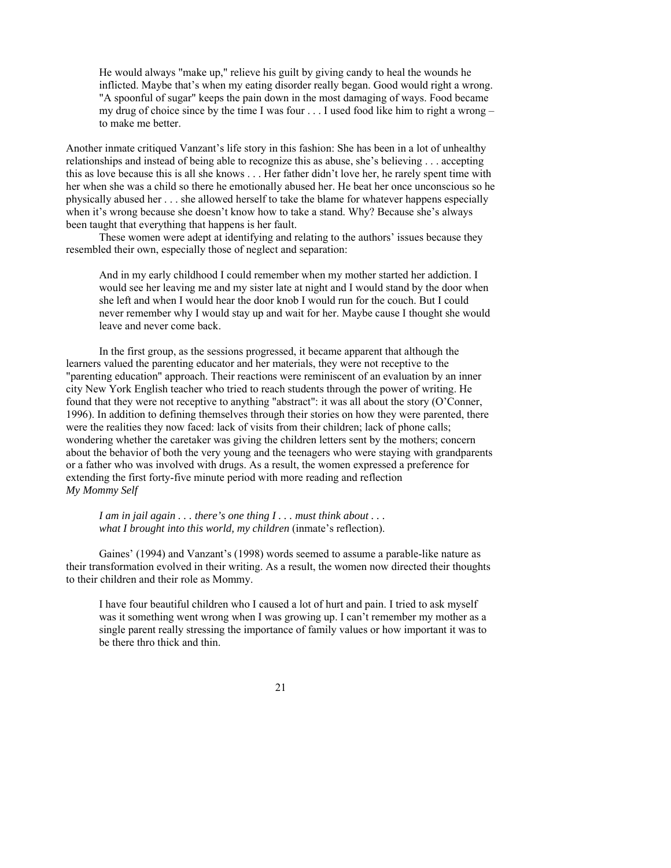He would always "make up," relieve his guilt by giving candy to heal the wounds he inflicted. Maybe that's when my eating disorder really began. Good would right a wrong. "A spoonful of sugar" keeps the pain down in the most damaging of ways. Food became my drug of choice since by the time I was four . . . I used food like him to right a wrong – to make me better.

Another inmate critiqued Vanzant's life story in this fashion: She has been in a lot of unhealthy relationships and instead of being able to recognize this as abuse, she's believing . . . accepting this as love because this is all she knows . . . Her father didn't love her, he rarely spent time with her when she was a child so there he emotionally abused her. He beat her once unconscious so he physically abused her . . . she allowed herself to take the blame for whatever happens especially when it's wrong because she doesn't know how to take a stand. Why? Because she's always been taught that everything that happens is her fault.

These women were adept at identifying and relating to the authors' issues because they resembled their own, especially those of neglect and separation:

And in my early childhood I could remember when my mother started her addiction. I would see her leaving me and my sister late at night and I would stand by the door when she left and when I would hear the door knob I would run for the couch. But I could never remember why I would stay up and wait for her. Maybe cause I thought she would leave and never come back.

 In the first group, as the sessions progressed, it became apparent that although the learners valued the parenting educator and her materials, they were not receptive to the "parenting education" approach. Their reactions were reminiscent of an evaluation by an inner city New York English teacher who tried to reach students through the power of writing. He found that they were not receptive to anything "abstract": it was all about the story (O'Conner, 1996). In addition to defining themselves through their stories on how they were parented, there were the realities they now faced: lack of visits from their children; lack of phone calls; wondering whether the caretaker was giving the children letters sent by the mothers; concern about the behavior of both the very young and the teenagers who were staying with grandparents or a father who was involved with drugs. As a result, the women expressed a preference for extending the first forty-five minute period with more reading and reflection *My Mommy Self*

*I am in jail again . . . there's one thing I . . . must think about . . . what I brought into this world, my children* (inmate's reflection).

 Gaines' (1994) and Vanzant's (1998) words seemed to assume a parable-like nature as their transformation evolved in their writing. As a result, the women now directed their thoughts to their children and their role as Mommy.

I have four beautiful children who I caused a lot of hurt and pain. I tried to ask myself was it something went wrong when I was growing up. I can't remember my mother as a single parent really stressing the importance of family values or how important it was to be there thro thick and thin.

21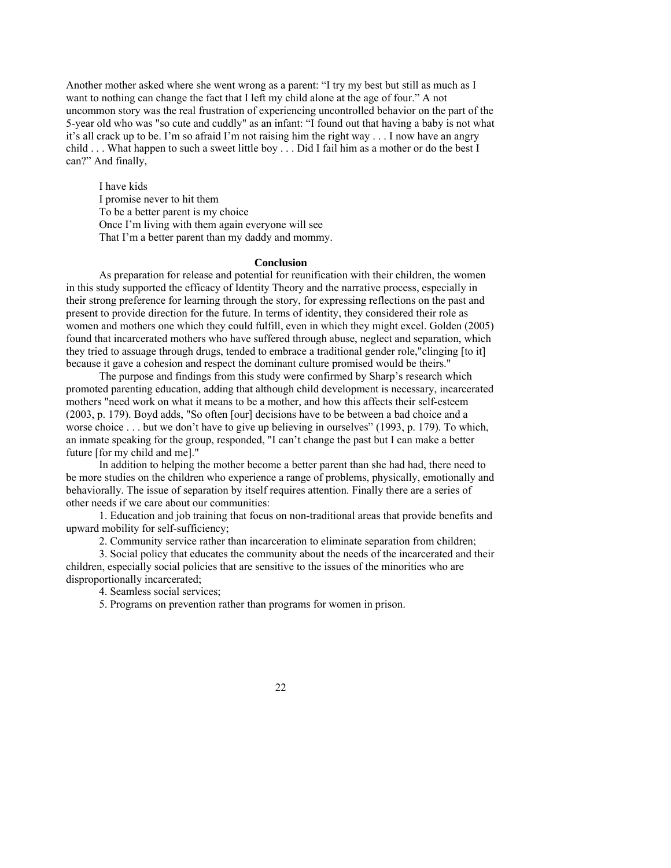Another mother asked where she went wrong as a parent: "I try my best but still as much as I want to nothing can change the fact that I left my child alone at the age of four." A not uncommon story was the real frustration of experiencing uncontrolled behavior on the part of the 5-year old who was "so cute and cuddly" as an infant: "I found out that having a baby is not what it's all crack up to be. I'm so afraid I'm not raising him the right way . . . I now have an angry child . . . What happen to such a sweet little boy . . . Did I fail him as a mother or do the best I can?" And finally,

I have kids I promise never to hit them To be a better parent is my choice Once I'm living with them again everyone will see That I'm a better parent than my daddy and mommy.

#### **Conclusion**

 As preparation for release and potential for reunification with their children, the women in this study supported the efficacy of Identity Theory and the narrative process, especially in their strong preference for learning through the story, for expressing reflections on the past and present to provide direction for the future. In terms of identity, they considered their role as women and mothers one which they could fulfill, even in which they might excel. Golden (2005) found that incarcerated mothers who have suffered through abuse, neglect and separation, which they tried to assuage through drugs, tended to embrace a traditional gender role,"clinging [to it] because it gave a cohesion and respect the dominant culture promised would be theirs."

 The purpose and findings from this study were confirmed by Sharp's research which promoted parenting education, adding that although child development is necessary, incarcerated mothers "need work on what it means to be a mother, and how this affects their self-esteem (2003, p. 179). Boyd adds, "So often [our] decisions have to be between a bad choice and a worse choice . . . but we don't have to give up believing in ourselves" (1993, p. 179). To which, an inmate speaking for the group, responded, "I can't change the past but I can make a better future [for my child and me]."

 In addition to helping the mother become a better parent than she had had, there need to be more studies on the children who experience a range of problems, physically, emotionally and behaviorally. The issue of separation by itself requires attention. Finally there are a series of other needs if we care about our communities:

 1. Education and job training that focus on non-traditional areas that provide benefits and upward mobility for self-sufficiency;

2. Community service rather than incarceration to eliminate separation from children;

 3. Social policy that educates the community about the needs of the incarcerated and their children, especially social policies that are sensitive to the issues of the minorities who are disproportionally incarcerated;

4. Seamless social services;

5. Programs on prevention rather than programs for women in prison.